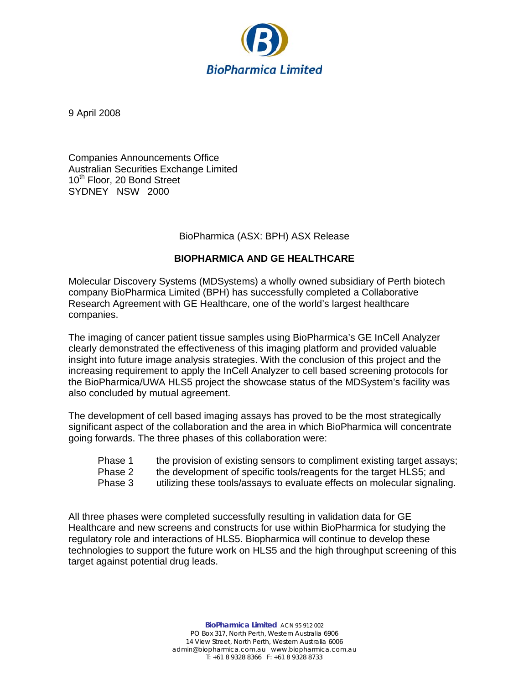

9 April 2008

Companies Announcements Office Australian Securities Exchange Limited 10<sup>th</sup> Floor, 20 Bond Street SYDNEY NSW 2000

## BioPharmica (ASX: BPH) ASX Release

## **BIOPHARMICA AND GE HEALTHCARE**

Molecular Discovery Systems (MDSystems) a wholly owned subsidiary of Perth biotech company BioPharmica Limited (BPH) has successfully completed a Collaborative Research Agreement with GE Healthcare, one of the world's largest healthcare companies.

The imaging of cancer patient tissue samples using BioPharmica's GE InCell Analyzer clearly demonstrated the effectiveness of this imaging platform and provided valuable insight into future image analysis strategies. With the conclusion of this project and the increasing requirement to apply the InCell Analyzer to cell based screening protocols for the BioPharmica/UWA HLS5 project the showcase status of the MDSystem's facility was also concluded by mutual agreement.

The development of cell based imaging assays has proved to be the most strategically significant aspect of the collaboration and the area in which BioPharmica will concentrate going forwards. The three phases of this collaboration were:

- Phase 1 the provision of existing sensors to compliment existing target assays;
- Phase 2 the development of specific tools/reagents for the target HLS5; and
- Phase 3 utilizing these tools/assays to evaluate effects on molecular signaling.

All three phases were completed successfully resulting in validation data for GE Healthcare and new screens and constructs for use within BioPharmica for studying the regulatory role and interactions of HLS5. Biopharmica will continue to develop these technologies to support the future work on HLS5 and the high throughput screening of this target against potential drug leads.